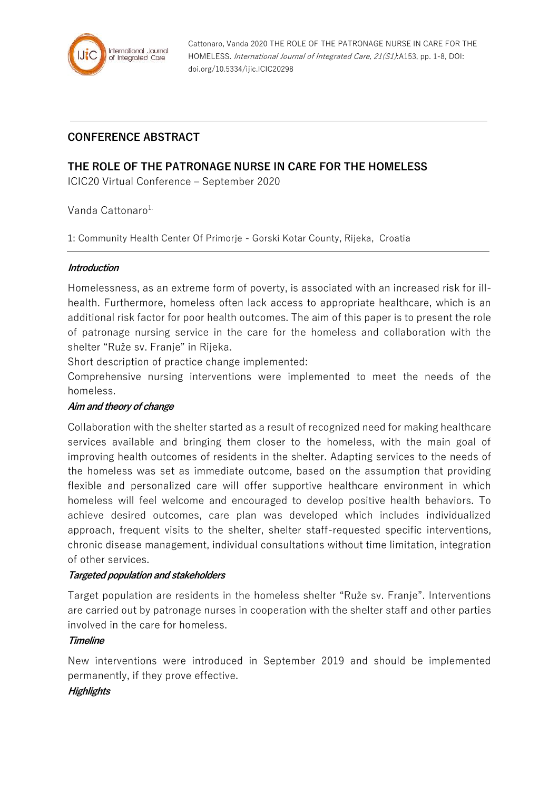

Cattonaro, Vanda 2020 THE ROLE OF THE PATRONAGE NURSE IN CARE FOR THE HOMELESS. International Journal of Integrated Care, 21(S1):A153, pp. 1-8, DOI: doi.org/10.5334/ijic.ICIC20298

# **CONFERENCE ABSTRACT**

# **THE ROLE OF THE PATRONAGE NURSE IN CARE FOR THE HOMELESS**

ICIC20 Virtual Conference – September 2020

Vanda Cattonaro<sup>1.</sup>

1: Community Health Center Of Primorje - Gorski Kotar County, Rijeka, Croatia

#### **Introduction**

Homelessness, as an extreme form of poverty, is associated with an increased risk for illhealth. Furthermore, homeless often lack access to appropriate healthcare, which is an additional risk factor for poor health outcomes. The aim of this paper is to present the role of patronage nursing service in the care for the homeless and collaboration with the shelter "Ruže sv. Franje" in Rijeka.

Short description of practice change implemented:

Comprehensive nursing interventions were implemented to meet the needs of the homeless.

#### **Aim and theory of change**

Collaboration with the shelter started as a result of recognized need for making healthcare services available and bringing them closer to the homeless, with the main goal of improving health outcomes of residents in the shelter. Adapting services to the needs of the homeless was set as immediate outcome, based on the assumption that providing flexible and personalized care will offer supportive healthcare environment in which homeless will feel welcome and encouraged to develop positive health behaviors. To achieve desired outcomes, care plan was developed which includes individualized approach, frequent visits to the shelter, shelter staff-requested specific interventions, chronic disease management, individual consultations without time limitation, integration of other services.

#### **Targeted population and stakeholders**

Target population are residents in the homeless shelter "Ruže sv. Franje". Interventions are carried out by patronage nurses in cooperation with the shelter staff and other parties involved in the care for homeless.

#### **Timeline**

New interventions were introduced in September 2019 and should be implemented permanently, if they prove effective.

#### **Highlights**